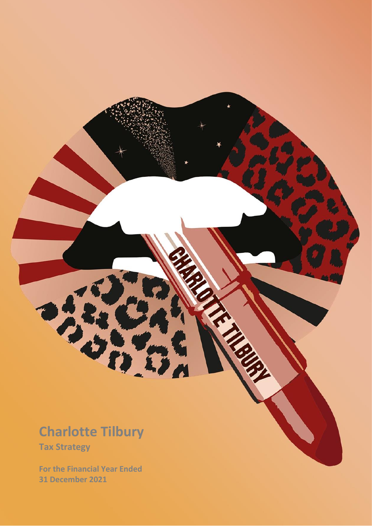### **Charlotte Tilbury**

**REACTION** 

**Tax Strategy** 

**For the Financial Year Ended 31 December 2021**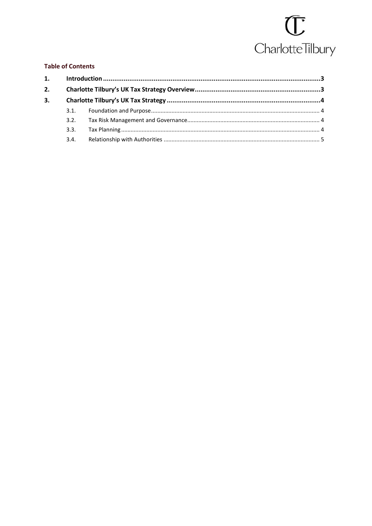### $\overline{\mathbb{C}}$ Charlotte Tilbury

### **Table of Contents**

| 3.2. |  |
|------|--|
| 3.3. |  |
| 3.4. |  |
|      |  |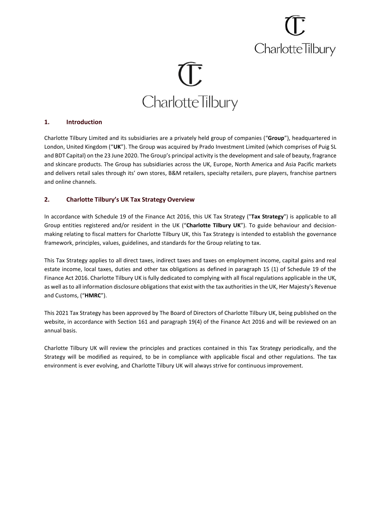## **CharlotteTilbury**

# **CharlotteTilbury**

### **1. Introduction**

Charlotte Tilbury Limited and its subsidiaries are a privately held group of companies ("**Group**"), headquartered in London, United Kingdom ("**UK**"). The Group was acquired by Prado Investment Limited (which comprises of Puig SL and BDT Capital) on the 23 June 2020. The Group's principal activity is the development and sale of beauty, fragrance and skincare products. The Group has subsidiaries across the UK, Europe, North America and Asia Pacific markets and delivers retail sales through its' own stores, B&M retailers, specialty retailers, pure players, franchise partners and online channels.

### **2. Charlotte Tilbury's UK Tax Strategy Overview**

In accordance with Schedule 19 of the Finance Act 2016, this UK Tax Strategy ("**Tax Strategy**") is applicable to all Group entities registered and/or resident in the UK ("**Charlotte Tilbury UK**"). To guide behaviour and decisionmaking relating to fiscal matters for Charlotte Tilbury UK, this Tax Strategy is intended to establish the governance framework, principles, values, guidelines, and standards for the Group relating to tax.

This Tax Strategy applies to all direct taxes, indirect taxes and taxes on employment income, capital gains and real estate income, local taxes, duties and other tax obligations as defined in paragraph 15 (1) of Schedule 19 of the Finance Act 2016. Charlotte Tilbury UK is fully dedicated to complying with all fiscal regulations applicable in the UK, as well as to all information disclosure obligations that exist with the tax authorities in the UK, Her Majesty's Revenue and Customs, ("**HMRC**").

This 2021 Tax Strategy has been approved by The Board of Directors of Charlotte Tilbury UK, being published on the website, in accordance with Section 161 and paragraph 19(4) of the Finance Act 2016 and will be reviewed on an annual basis.

Charlotte Tilbury UK will review the principles and practices contained in this Tax Strategy periodically, and the Strategy will be modified as required, to be in compliance with applicable fiscal and other regulations. The tax environment is ever evolving, and Charlotte Tilbury UK will always strive for continuous improvement.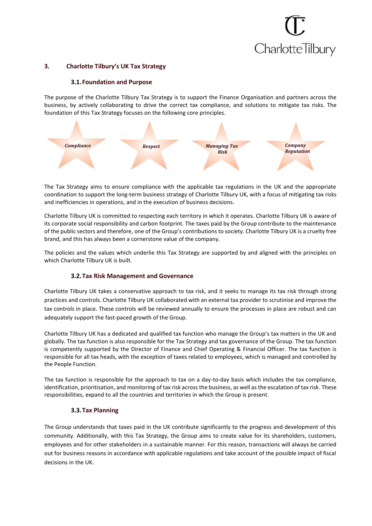### **CharlotteTilbury**

#### **3. Charlotte Tilbury's UK Tax Strategy**

#### **3.1.Foundation and Purpose**

The purpose of the Charlotte Tilbury Tax Strategy is to support the Finance Organisation and partners across the business, by actively collaborating to drive the correct tax compliance, and solutions to mitigate tax risks. The foundation of this Tax Strategy focuses on the following core principles.



The Tax Strategy aims to ensure compliance with the applicable tax regulations in the UK and the appropriate coordination to support the long-term business strategy of Charlotte Tilbury UK, with a focus of mitigating tax risks and inefficiencies in operations, and in the execution of business decisions.

Charlotte Tilbury UK is committed to respecting each territory in which it operates. Charlotte Tilbury UK is aware of its corporate social responsibility and carbon footprint. The taxes paid by the Group contribute to the maintenance of the public sectors and therefore, one of the Group's contributions to society. Charlotte Tilbury UK is a cruelty free brand, and this has always been a cornerstone value of the company.

The policies and the values which underlie this Tax Strategy are supported by and aligned with the principles on which Charlotte Tilbury UK is built.

### **3.2.Tax Risk Management and Governance**

Charlotte Tilbury UK takes a conservative approach to tax risk, and it seeks to manage its tax risk through strong practices and controls. Charlotte Tilbury UK collaborated with an external tax provider to scrutinise and improve the tax controls in place. These controls will be reviewed annually to ensure the processes in place are robust and can adequately support the fast-paced growth of the Group.

Charlotte Tilbury UK has a dedicated and qualified tax function who manage the Group's tax matters in the UK and globally. The tax function is also responsible for the Tax Strategy and tax governance of the Group. The tax function is competently supported by the Director of Finance and Chief Operating & Financial Officer. The tax function is responsible for all tax heads, with the exception of taxes related to employees, which is managed and controlled by the People Function.

The tax function is responsible for the approach to tax on a day-to-day basis which includes the tax compliance, identification, prioritisation, and monitoring of tax risk across the business, as well as the escalation of tax risk. These responsibilities, expand to all the countries and territories in which the Group is present.

### **3.3.Tax Planning**

The Group understands that taxes paid in the UK contribute significantly to the progress and development of this community. Additionally, with this Tax Strategy, the Group aims to create value for its shareholders, customers, employees and for other stakeholders in a sustainable manner. For this reason, transactions will always be carried out for business reasons in accordance with applicable regulations and take account of the possible impact of fiscal decisions in the UK.